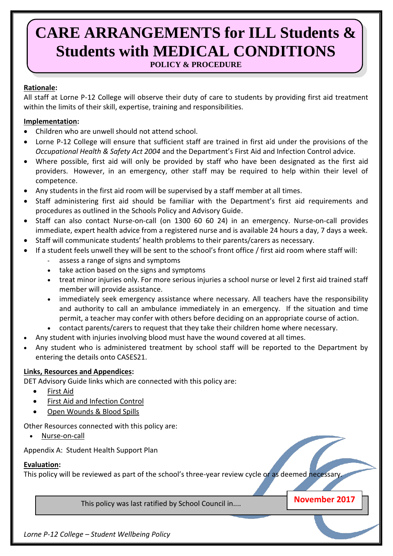# **CARE ARRANGEMENTS for ILL Students & Students with MEDICAL CONDITIONS**

**POLICY & PROCEDURE**

## **Rationale:**

All staff at Lorne P-12 College will observe their duty of care to students by providing first aid treatment within the limits of their skill, expertise, training and responsibilities.

## **Implementation:**

- Children who are unwell should not attend school.
- Lorne P-12 College will ensure that sufficient staff are trained in first aid under the provisions of the *Occupational Health & Safety Act 2004* and the Department's First Aid and Infection Control advice.
- Where possible, first aid will only be provided by staff who have been designated as the first aid providers. However, in an emergency, other staff may be required to help within their level of competence.
- Any students in the first aid room will be supervised by a staff member at all times.
- Staff administering first aid should be familiar with the Department's first aid requirements and procedures as outlined in the Schools Policy and Advisory Guide.
- Staff can also contact Nurse-on-call (on 1300 60 60 24) in an emergency. Nurse-on-call provides immediate, expert health advice from a registered nurse and is available 24 hours a day, 7 days a week.
- Staff will communicate students' health problems to their parents/carers as necessary.
- If a student feels unwell they will be sent to the school's front office / first aid room where staff will:
	- assess a range of signs and symptoms
	- take action based on the signs and symptoms
	- treat minor injuries only. For more serious injuries a school nurse or level 2 first aid trained staff member will provide assistance.
	- immediately seek emergency assistance where necessary. All teachers have the responsibility and authority to call an ambulance immediately in an emergency. If the situation and time permit, a teacher may confer with others before deciding on an appropriate course of action.
	- contact parents/carers to request that they take their children home where necessary.
- Any student with injuries involving blood must have the wound covered at all times.
- Any student who is administered treatment by school staff will be reported to the Department by entering the details onto CASES21.

### **Links, Resources and Appendices:**

DET Advisory Guide links which are connected with this policy are:

- [First Aid](http://www.education.vic.gov.au/school/principals/spag/health/Pages/firstaid.aspx)
- [First Aid and Infection Control](http://www.education.vic.gov.au/school/principals/management/Pages/firstaidohsms.aspx)
- [Open Wounds & Blood Spills](http://www.education.vic.gov.au/school/principals/spag/health/Pages/blood.aspx)

Other Resources connected with this policy are:

[Nurse-on-call](https://www2.health.vic.gov.au/primary-and-community-health/primary-care/nurse-on-call)

Appendix A: Student Health Support Plan

# **Evaluation:**

This policy will be reviewed as part of the school's three-year review cycle or as deemed necessary.

This policy was last ratified by School Council in....

**November 2017**

*Lorne P-12 College – Student Wellbeing Policy*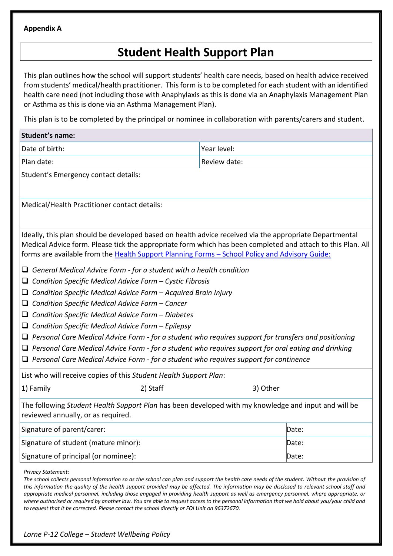#### **Appendix A**

# **Student Health Support Plan**

This plan outlines how the school will support students' health care needs, based on health advice received from students' medical/health practitioner. This form is to be completed for each student with an identified health care need (not including those with Anaphylaxis as this is done via an Anaphylaxis Management Plan or Asthma as this is done via an Asthma Management Plan).

This plan is to be completed by the principal or nominee in collaboration with parents/carers and student.

| Date of birth:<br>Year level:<br>Plan date:<br>Review date:<br>Student's Emergency contact details:<br>Medical/Health Practitioner contact details:<br>Ideally, this plan should be developed based on health advice received via the appropriate Departmental<br>Medical Advice form. Please tick the appropriate form which has been completed and attach to this Plan. All<br>forms are available from the Health Support Planning Forms - School Policy and Advisory Guide:<br>$\Box$ General Medical Advice Form - for a student with a health condition<br>Condition Specific Medical Advice Form - Cystic Fibrosis<br>⊔<br>Condition Specific Medical Advice Form - Acquired Brain Injury<br>$\Box$<br>$\Box$ Condition Specific Medical Advice Form – Cancer<br>Condition Specific Medical Advice Form - Diabetes<br>u<br>$\Box$ Condition Specific Medical Advice Form - Epilepsy<br>$\Box$ Personal Care Medical Advice Form - for a student who requires support for transfers and positioning<br>$\Box$ Personal Care Medical Advice Form - for a student who requires support for oral eating and drinking<br>$\Box$ Personal Care Medical Advice Form - for a student who requires support for continence<br>List who will receive copies of this Student Health Support Plan:<br>1) Family<br>2) Staff<br>3) Other<br>The following Student Health Support Plan has been developed with my knowledge and input and will be<br>reviewed annually, or as required.<br>Signature of parent/carer:<br>Date:<br>Signature of student (mature minor):<br>Date:<br>Signature of principal (or nominee):<br>Date: | <b>Student's name:</b> |  |  |  |  |
|--------------------------------------------------------------------------------------------------------------------------------------------------------------------------------------------------------------------------------------------------------------------------------------------------------------------------------------------------------------------------------------------------------------------------------------------------------------------------------------------------------------------------------------------------------------------------------------------------------------------------------------------------------------------------------------------------------------------------------------------------------------------------------------------------------------------------------------------------------------------------------------------------------------------------------------------------------------------------------------------------------------------------------------------------------------------------------------------------------------------------------------------------------------------------------------------------------------------------------------------------------------------------------------------------------------------------------------------------------------------------------------------------------------------------------------------------------------------------------------------------------------------------------------------------------------------------------------------------------------------------|------------------------|--|--|--|--|
|                                                                                                                                                                                                                                                                                                                                                                                                                                                                                                                                                                                                                                                                                                                                                                                                                                                                                                                                                                                                                                                                                                                                                                                                                                                                                                                                                                                                                                                                                                                                                                                                                          |                        |  |  |  |  |
|                                                                                                                                                                                                                                                                                                                                                                                                                                                                                                                                                                                                                                                                                                                                                                                                                                                                                                                                                                                                                                                                                                                                                                                                                                                                                                                                                                                                                                                                                                                                                                                                                          |                        |  |  |  |  |
|                                                                                                                                                                                                                                                                                                                                                                                                                                                                                                                                                                                                                                                                                                                                                                                                                                                                                                                                                                                                                                                                                                                                                                                                                                                                                                                                                                                                                                                                                                                                                                                                                          |                        |  |  |  |  |
|                                                                                                                                                                                                                                                                                                                                                                                                                                                                                                                                                                                                                                                                                                                                                                                                                                                                                                                                                                                                                                                                                                                                                                                                                                                                                                                                                                                                                                                                                                                                                                                                                          |                        |  |  |  |  |
|                                                                                                                                                                                                                                                                                                                                                                                                                                                                                                                                                                                                                                                                                                                                                                                                                                                                                                                                                                                                                                                                                                                                                                                                                                                                                                                                                                                                                                                                                                                                                                                                                          |                        |  |  |  |  |
|                                                                                                                                                                                                                                                                                                                                                                                                                                                                                                                                                                                                                                                                                                                                                                                                                                                                                                                                                                                                                                                                                                                                                                                                                                                                                                                                                                                                                                                                                                                                                                                                                          |                        |  |  |  |  |
|                                                                                                                                                                                                                                                                                                                                                                                                                                                                                                                                                                                                                                                                                                                                                                                                                                                                                                                                                                                                                                                                                                                                                                                                                                                                                                                                                                                                                                                                                                                                                                                                                          |                        |  |  |  |  |
|                                                                                                                                                                                                                                                                                                                                                                                                                                                                                                                                                                                                                                                                                                                                                                                                                                                                                                                                                                                                                                                                                                                                                                                                                                                                                                                                                                                                                                                                                                                                                                                                                          |                        |  |  |  |  |
|                                                                                                                                                                                                                                                                                                                                                                                                                                                                                                                                                                                                                                                                                                                                                                                                                                                                                                                                                                                                                                                                                                                                                                                                                                                                                                                                                                                                                                                                                                                                                                                                                          |                        |  |  |  |  |
|                                                                                                                                                                                                                                                                                                                                                                                                                                                                                                                                                                                                                                                                                                                                                                                                                                                                                                                                                                                                                                                                                                                                                                                                                                                                                                                                                                                                                                                                                                                                                                                                                          |                        |  |  |  |  |
|                                                                                                                                                                                                                                                                                                                                                                                                                                                                                                                                                                                                                                                                                                                                                                                                                                                                                                                                                                                                                                                                                                                                                                                                                                                                                                                                                                                                                                                                                                                                                                                                                          |                        |  |  |  |  |

*Privacy Statement:*

The school collects personal information so as the school can plan and support the health care needs of the student. Without the provision of *this information the quality of the health support provided may be affected. The information may be disclosed to relevant school staff and appropriate medical personnel, including those engaged in providing health support as well as emergency personnel, where appropriate, or where authorised or required by another law. You are able to request access to the personal information that we hold about you/your child and to request that it be corrected. Please contact the school directly or FOI Unit on 96372670.*